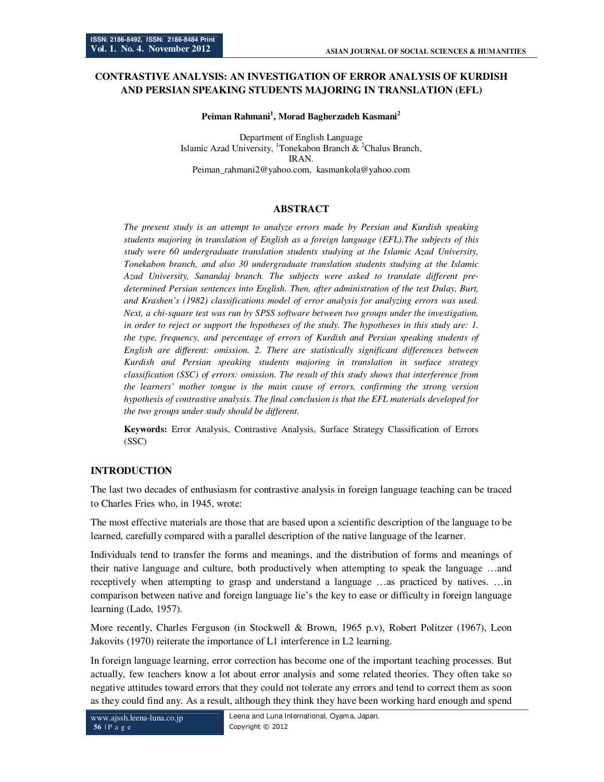# **CONTRASTIVE ANALYSIS: AN INVESTIGATION OF ERROR ANALYSIS OF KURDISH AND PERSIAN SPEAKING STUDENTS MAJORING IN TRANSLATION (EFL)**

#### **Peiman Rahmani<sup>1</sup> , Morad Bagherzadeh Kasmani<sup>2</sup>**

Department of English Language Islamic Azad University, <sup>1</sup>Tonekabon Branch  $\&$  <sup>2</sup>Chalus Branch, IRAN. Peiman\_rahmani2@yahoo.com, kasmankola@yahoo.com

## **ABSTRACT**

*The present study is an attempt to analyze errors made by Persian and Kurdish speaking students majoring in translation of English as a foreign language (EFL).The subjects of this study were 60 undergraduate translation students studying at the Islamic Azad University, Tonekabon branch, and also 30 undergraduate translation students studying at the Islamic Azad University, Sanandaj branch. The subjects were asked to translate different predetermined Persian sentences into English. Then, after administration of the test Dulay, Burt, and Krashen's (1982) classifications model of error analysis for analyzing errors was used. Next, a chi-square test was run by SPSS software between two groups under the investigation, in order to reject or support the hypotheses of the study. The hypotheses in this study are: 1. the type, frequency, and percentage of errors of Kurdish and Persian speaking students of English are different: omission. 2. There are statistically significant differences between Kurdish and Persian speaking students majoring in translation in surface strategy classification (SSC) of errors: omission. The result of this study shows that interference from the learners' mother tongue is the main cause of errors, confirming the strong version hypothesis of contrastive analysis. The final conclusion is that the EFL materials developed for the two groups under study should be different.* 

**Keywords:** Error Analysis, Contrastive Analysis, Surface Strategy Classification of Errors (SSC)

## **INTRODUCTION**

The last two decades of enthusiasm for contrastive analysis in foreign language teaching can be traced to Charles Fries who, in 1945, wrote:

The most effective materials are those that are based upon a scientific description of the language to be learned, carefully compared with a parallel description of the native language of the learner.

Individuals tend to transfer the forms and meanings, and the distribution of forms and meanings of their native language and culture, both productively when attempting to speak the language …and receptively when attempting to grasp and understand a language …as practiced by natives. …in comparison between native and foreign language lie's the key to ease or difficulty in foreign language learning (Lado, 1957).

More recently, Charles Ferguson (in Stockwell & Brown, 1965 p.v), Robert Politzer (1967), Leon Jakovits (1970) reiterate the importance of L1 interference in L2 learning.

In foreign language learning, error correction has become one of the important teaching processes. But actually, few teachers know a lot about error analysis and some related theories. They often take so negative attitudes toward errors that they could not tolerate any errors and tend to correct them as soon as they could find any. As a result, although they think they have been working hard enough and spend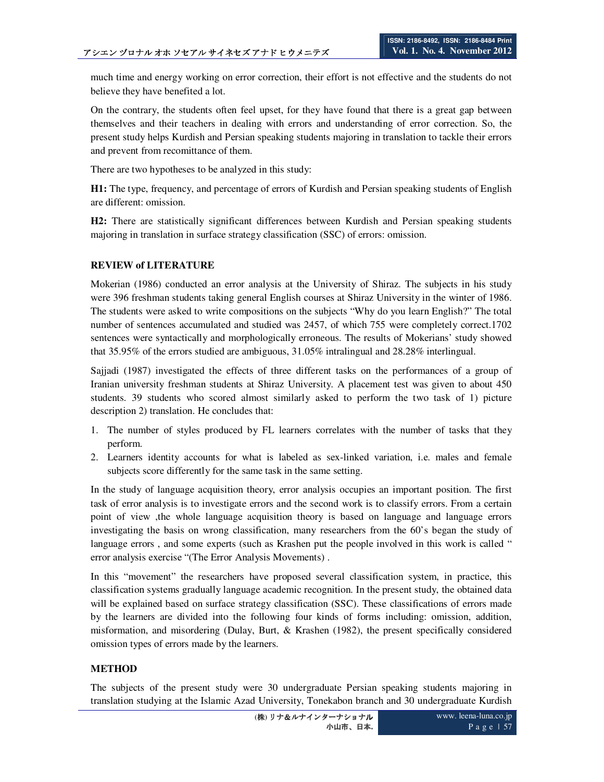much time and energy working on error correction, their effort is not effective and the students do not believe they have benefited a lot.

On the contrary, the students often feel upset, for they have found that there is a great gap between themselves and their teachers in dealing with errors and understanding of error correction. So, the present study helps Kurdish and Persian speaking students majoring in translation to tackle their errors and prevent from recomittance of them.

There are two hypotheses to be analyzed in this study:

**H1:** The type, frequency, and percentage of errors of Kurdish and Persian speaking students of English are different: omission.

**H2:** There are statistically significant differences between Kurdish and Persian speaking students majoring in translation in surface strategy classification (SSC) of errors: omission.

## **REVIEW of LITERATURE**

Mokerian (1986) conducted an error analysis at the University of Shiraz. The subjects in his study were 396 freshman students taking general English courses at Shiraz University in the winter of 1986. The students were asked to write compositions on the subjects "Why do you learn English?" The total number of sentences accumulated and studied was 2457, of which 755 were completely correct.1702 sentences were syntactically and morphologically erroneous. The results of Mokerians' study showed that 35.95% of the errors studied are ambiguous, 31.05% intralingual and 28.28% interlingual.

Sajjadi (1987) investigated the effects of three different tasks on the performances of a group of Iranian university freshman students at Shiraz University. A placement test was given to about 450 students. 39 students who scored almost similarly asked to perform the two task of 1) picture description 2) translation. He concludes that:

- 1. The number of styles produced by FL learners correlates with the number of tasks that they perform.
- 2. Learners identity accounts for what is labeled as sex-linked variation, i.e. males and female subjects score differently for the same task in the same setting.

In the study of language acquisition theory, error analysis occupies an important position. The first task of error analysis is to investigate errors and the second work is to classify errors. From a certain point of view ,the whole language acquisition theory is based on language and language errors investigating the basis on wrong classification, many researchers from the 60's began the study of language errors, and some experts (such as Krashen put the people involved in this work is called " error analysis exercise "(The Error Analysis Movements) .

In this "movement" the researchers have proposed several classification system, in practice, this classification systems gradually language academic recognition. In the present study, the obtained data will be explained based on surface strategy classification (SSC). These classifications of errors made by the learners are divided into the following four kinds of forms including: omission, addition, misformation, and misordering (Dulay, Burt, & Krashen (1982), the present specifically considered omission types of errors made by the learners.

## **METHOD**

The subjects of the present study were 30 undergraduate Persian speaking students majoring in translation studying at the Islamic Azad University, Tonekabon branch and 30 undergraduate Kurdish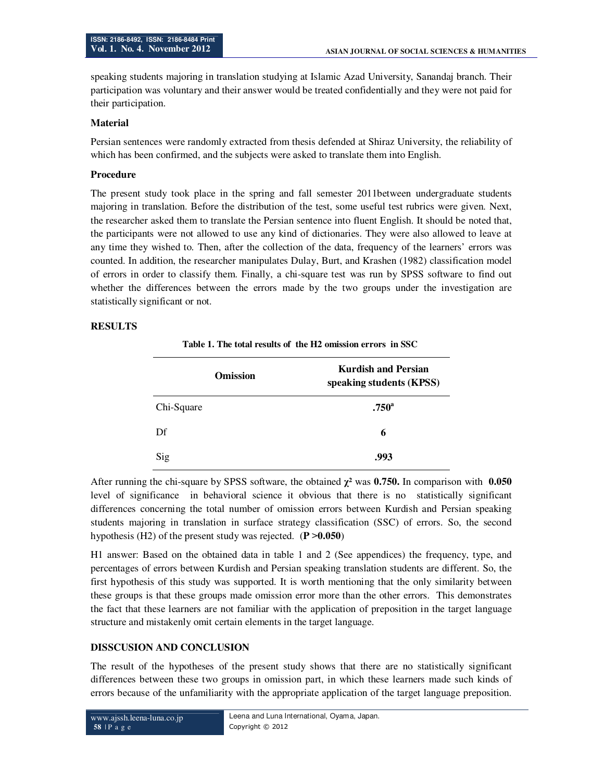speaking students majoring in translation studying at Islamic Azad University, Sanandaj branch. Their participation was voluntary and their answer would be treated confidentially and they were not paid for their participation.

#### **Material**

Persian sentences were randomly extracted from thesis defended at Shiraz University, the reliability of which has been confirmed, and the subjects were asked to translate them into English.

### **Procedure**

The present study took place in the spring and fall semester 2011between undergraduate students majoring in translation. Before the distribution of the test, some useful test rubrics were given. Next, the researcher asked them to translate the Persian sentence into fluent English. It should be noted that, the participants were not allowed to use any kind of dictionaries. They were also allowed to leave at any time they wished to. Then, after the collection of the data, frequency of the learners' errors was counted. In addition, the researcher manipulates Dulay, Burt, and Krashen (1982) classification model of errors in order to classify them. Finally, a chi-square test was run by SPSS software to find out whether the differences between the errors made by the two groups under the investigation are statistically significant or not.

### **RESULTS**

**Table 1. The total results of the H2 omission errors in SSC**

| <b>Omission</b> | <b>Kurdish and Persian</b><br>speaking students (KPSS) |
|-----------------|--------------------------------------------------------|
| Chi-Square      | .750 <sup>a</sup>                                      |
| Df              | 6                                                      |
| Sig             | .993                                                   |

After running the chi-square by SPSS software, the obtained **χ²** was **0.750.** In comparison with **0.050** level of significance in behavioral science it obvious that there is no statistically significant differences concerning the total number of omission errors between Kurdish and Persian speaking students majoring in translation in surface strategy classification (SSC) of errors. So, the second hypothesis (H2) of the present study was rejected. (**P ˃0.050**)

H1 answer: Based on the obtained data in table 1 and 2 (See appendices) the frequency, type, and percentages of errors between Kurdish and Persian speaking translation students are different. So, the first hypothesis of this study was supported. It is worth mentioning that the only similarity between these groups is that these groups made omission error more than the other errors. This demonstrates the fact that these learners are not familiar with the application of preposition in the target language structure and mistakenly omit certain elements in the target language.

### **DISSCUSION AND CONCLUSION**

The result of the hypotheses of the present study shows that there are no statistically significant differences between these two groups in omission part, in which these learners made such kinds of errors because of the unfamiliarity with the appropriate application of the target language preposition.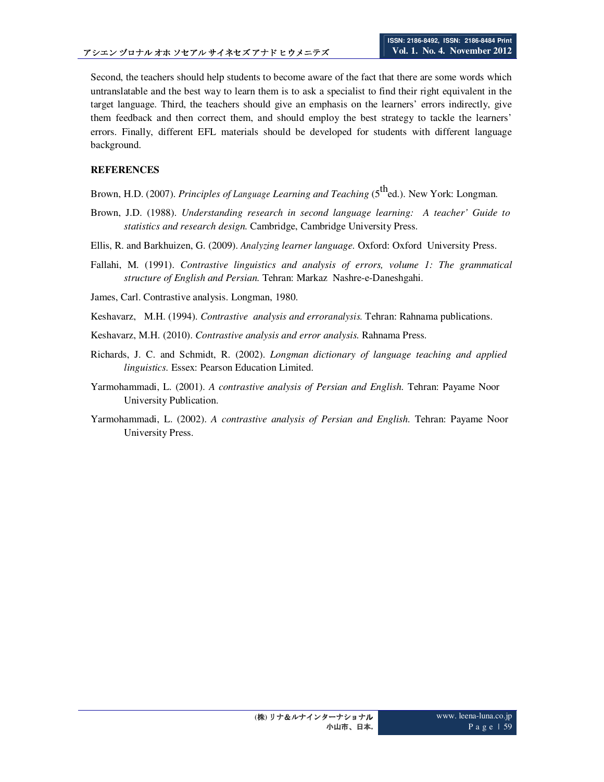Second, the teachers should help students to become aware of the fact that there are some words which untranslatable and the best way to learn them is to ask a specialist to find their right equivalent in the target language. Third, the teachers should give an emphasis on the learners' errors indirectly, give them feedback and then correct them, and should employ the best strategy to tackle the learners' errors. Finally, different EFL materials should be developed for students with different language background.

## **REFERENCES**

- Brown, H.D. (2007). *Principles of Language Learning and Teaching* (5<sup>th</sup>ed.). New York: Longman.
- Brown, J.D. (1988). *Understanding research in second language learning: A teacher' Guide to statistics and research design.* Cambridge, Cambridge University Press.
- Ellis, R. and Barkhuizen, G. (2009). *Analyzing learner language.* Oxford: Oxford University Press.
- Fallahi, M. (1991). *Contrastive linguistics and analysis of errors, volume 1: The grammatical structure of English and Persian.* Tehran: Markaz Nashre-e-Daneshgahi.
- James, Carl. Contrastive analysis. Longman, 1980.
- Keshavarz, M.H. (1994). *Contrastive analysis and erroranalysis.* Tehran: Rahnama publications.
- Keshavarz, M.H. (2010). *Contrastive analysis and error analysis.* Rahnama Press.
- Richards, J. C. and Schmidt, R. (2002). *Longman dictionary of language teaching and applied linguistics.* Essex: Pearson Education Limited.
- Yarmohammadi, L. (2001). *A contrastive analysis of Persian and English.* Tehran: Payame Noor University Publication.
- Yarmohammadi, L. (2002). *A contrastive analysis of Persian and English.* Tehran: Payame Noor University Press.